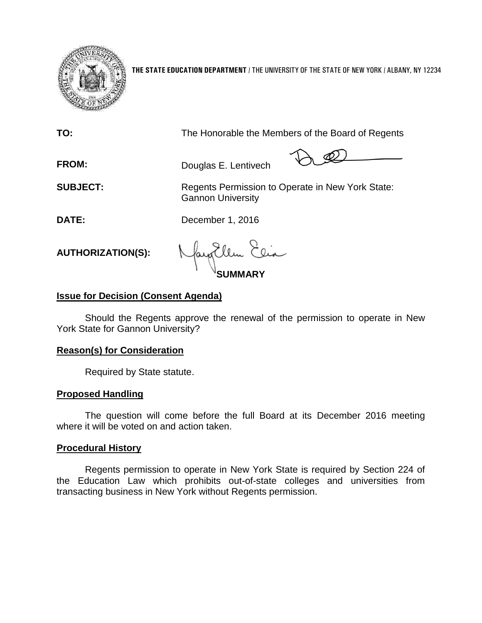

**THE STATE EDUCATION DEPARTMENT** / THE UNIVERSITY OF THE STATE OF NEW YORK / ALBANY, NY 12234

| TO:                      | The Honorable the Members of the Board of Regents                            |
|--------------------------|------------------------------------------------------------------------------|
| <b>FROM:</b>             | Douglas E. Lentivech                                                         |
| <b>SUBJECT:</b>          | Regents Permission to Operate in New York State:<br><b>Gannon University</b> |
| DATE:                    | December 1, 2016                                                             |
| <b>AUTHORIZATION(S):</b> | Nayollen Elia                                                                |

# **Issue for Decision (Consent Agenda)**

Should the Regents approve the renewal of the permission to operate in New York State for Gannon University?

## **Reason(s) for Consideration**

Required by State statute.

### **Proposed Handling**

The question will come before the full Board at its December 2016 meeting where it will be voted on and action taken.

### **Procedural History**

Regents permission to operate in New York State is required by Section 224 of the Education Law which prohibits out-of-state colleges and universities from transacting business in New York without Regents permission.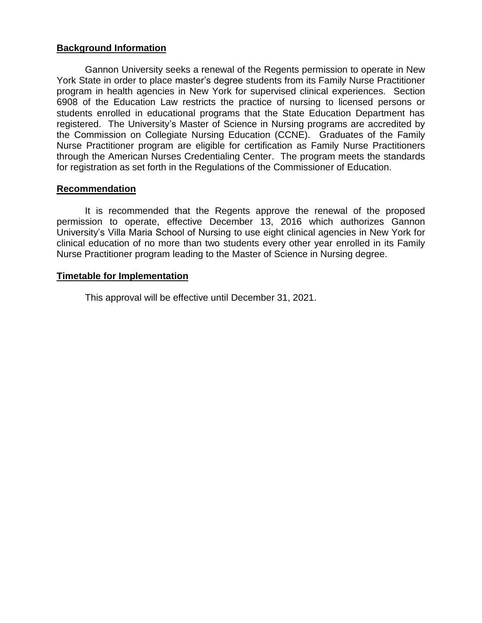# **Background Information**

Gannon University seeks a renewal of the Regents permission to operate in New York State in order to place master's degree students from its Family Nurse Practitioner program in health agencies in New York for supervised clinical experiences. Section 6908 of the Education Law restricts the practice of nursing to licensed persons or students enrolled in educational programs that the State Education Department has registered. The University's Master of Science in Nursing programs are accredited by the Commission on Collegiate Nursing Education (CCNE). Graduates of the Family Nurse Practitioner program are eligible for certification as Family Nurse Practitioners through the American Nurses Credentialing Center. The program meets the standards for registration as set forth in the Regulations of the Commissioner of Education.

# **Recommendation**

It is recommended that the Regents approve the renewal of the proposed permission to operate, effective December 13, 2016 which authorizes Gannon University's Villa Maria School of Nursing to use eight clinical agencies in New York for clinical education of no more than two students every other year enrolled in its Family Nurse Practitioner program leading to the Master of Science in Nursing degree.

# **Timetable for Implementation**

This approval will be effective until December 31, 2021.